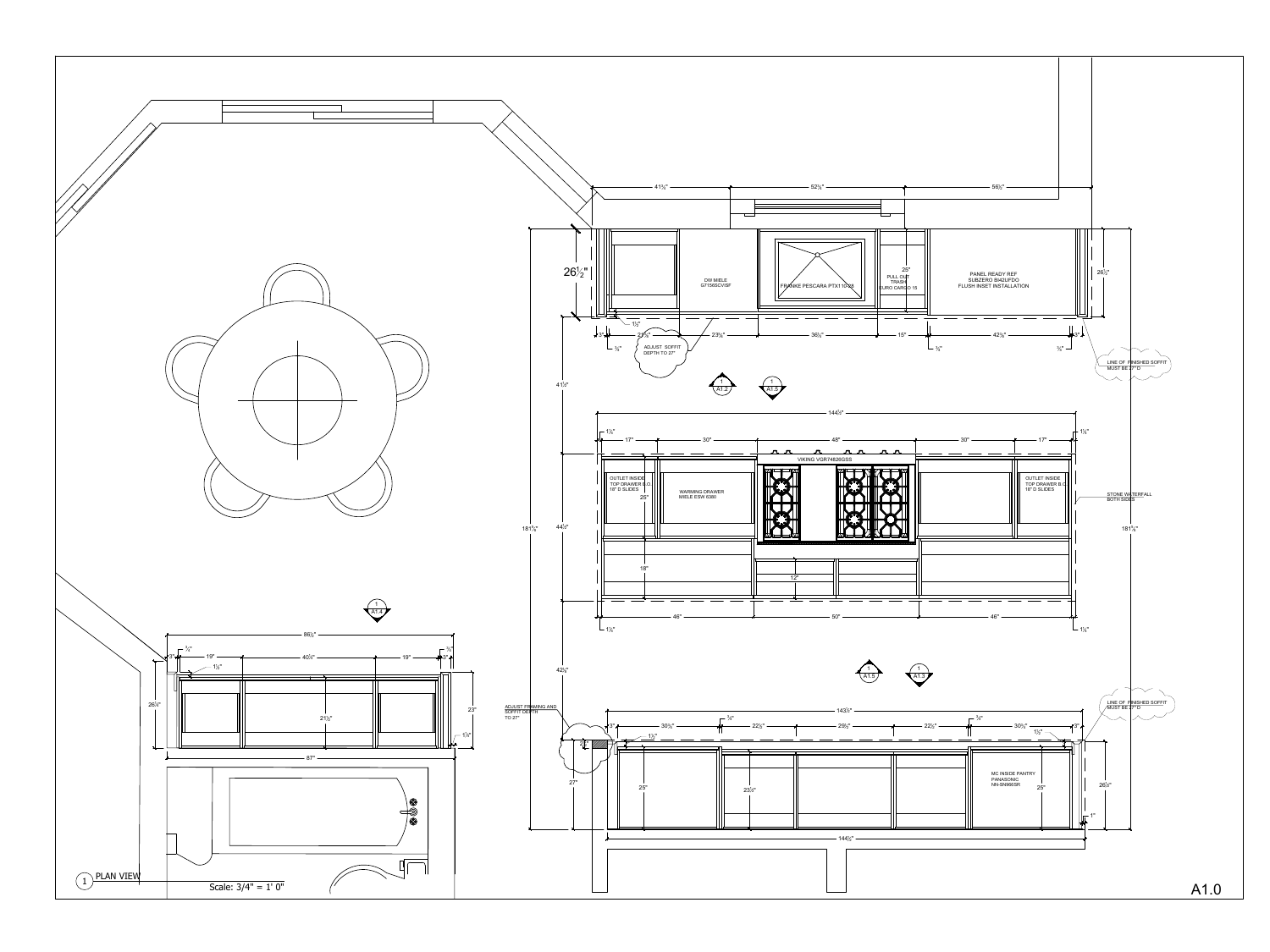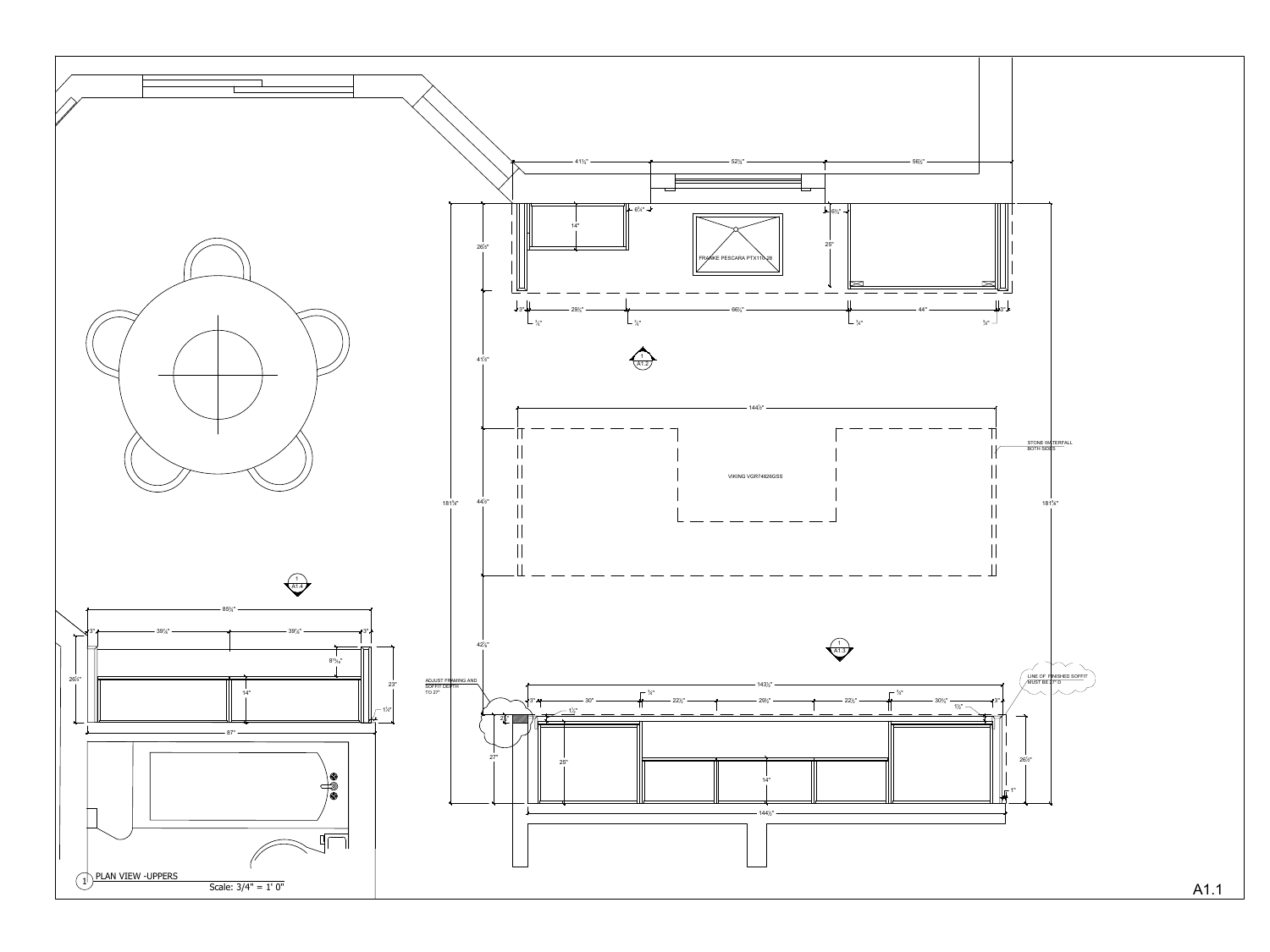![](_page_1_Figure_0.jpeg)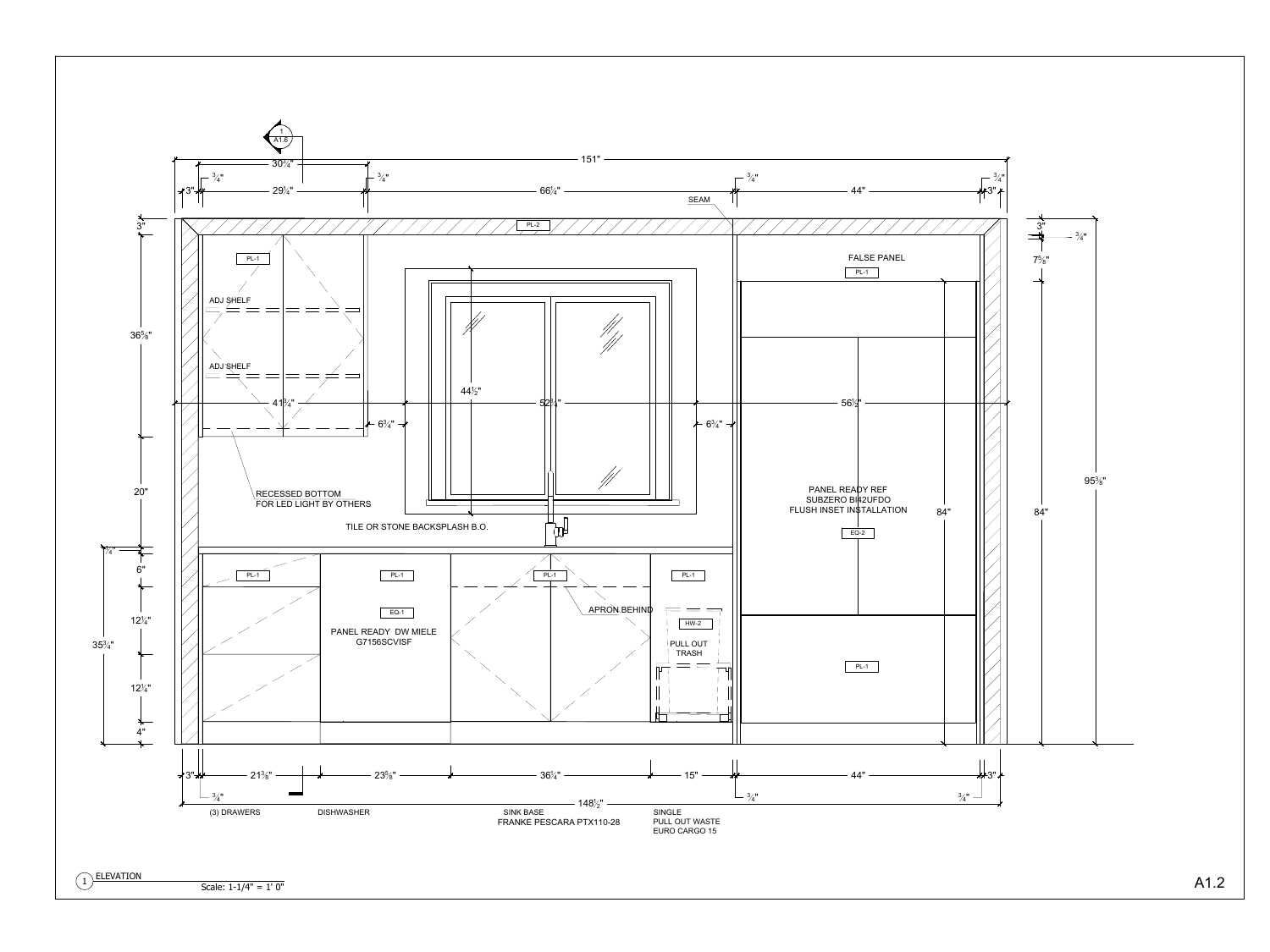![](_page_2_Figure_0.jpeg)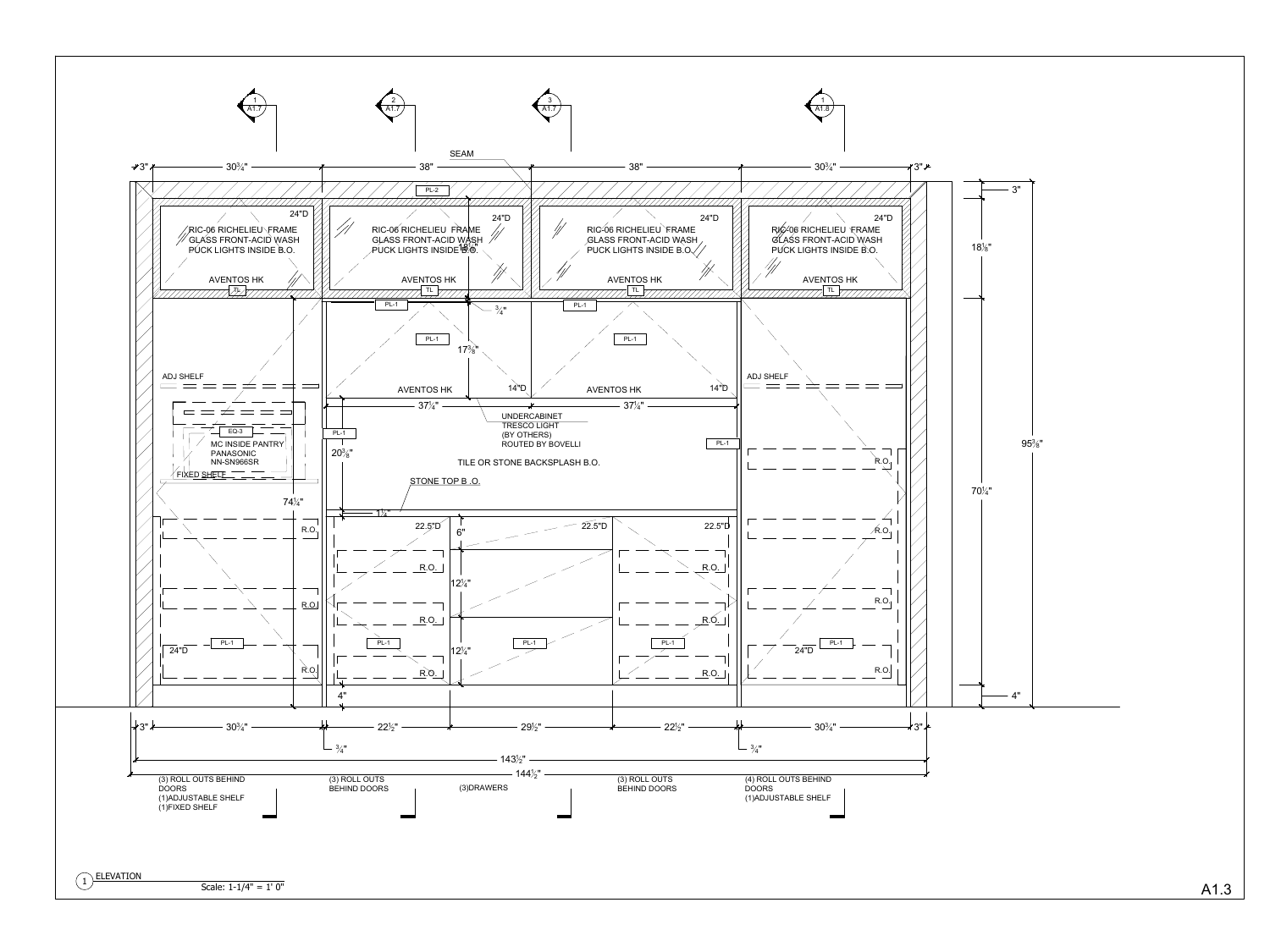![](_page_3_Figure_0.jpeg)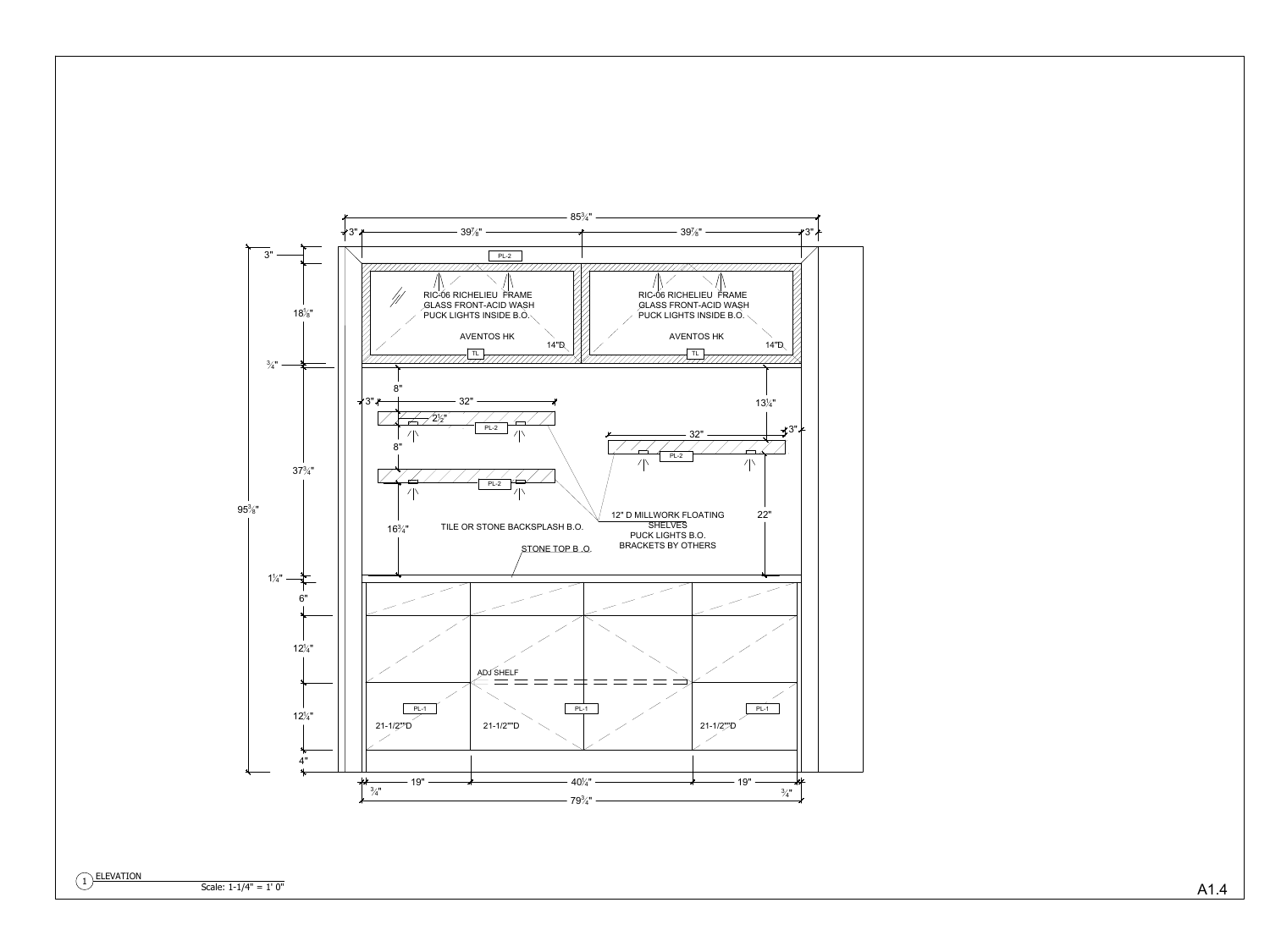![](_page_4_Figure_0.jpeg)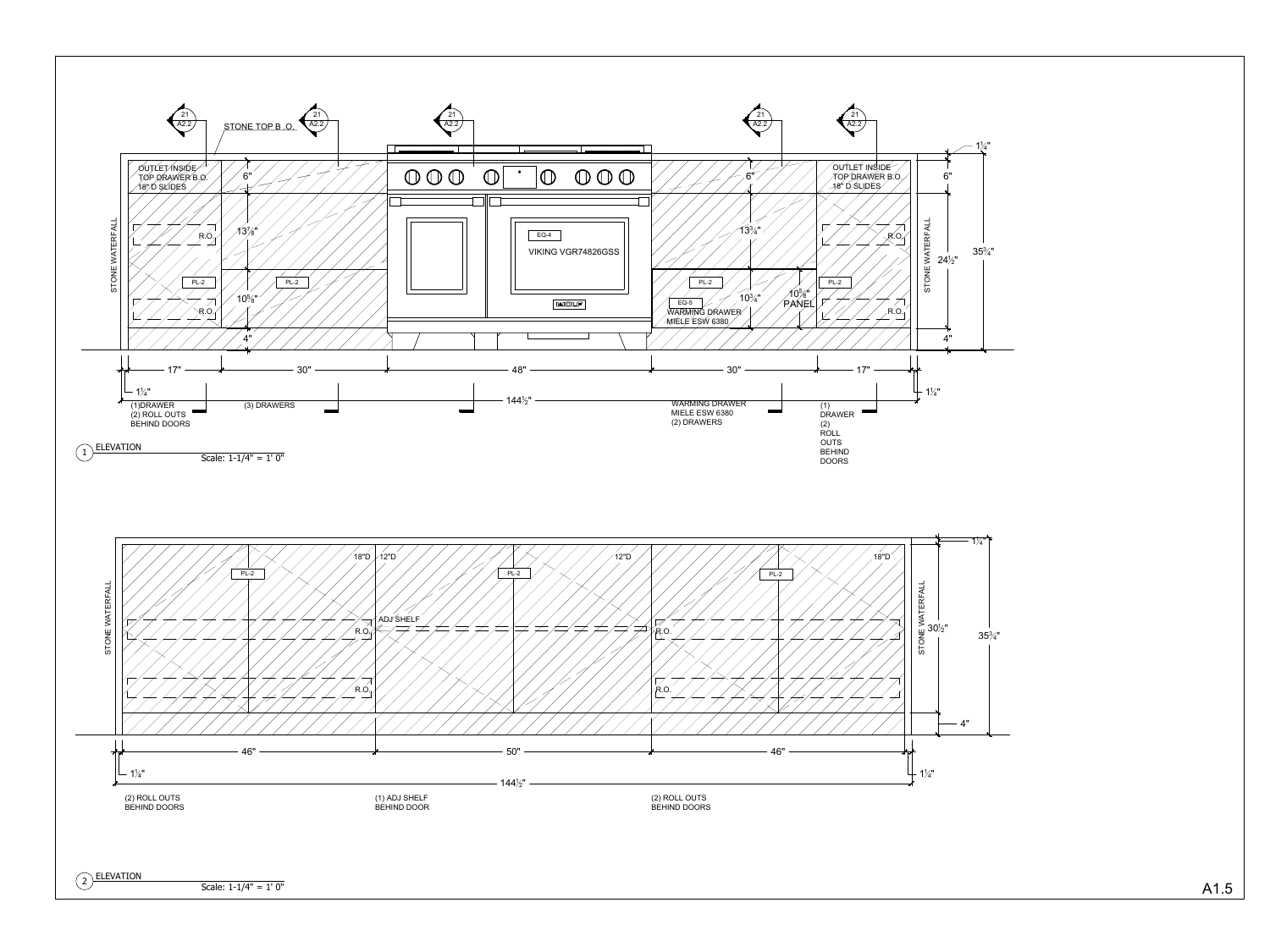![](_page_5_Figure_0.jpeg)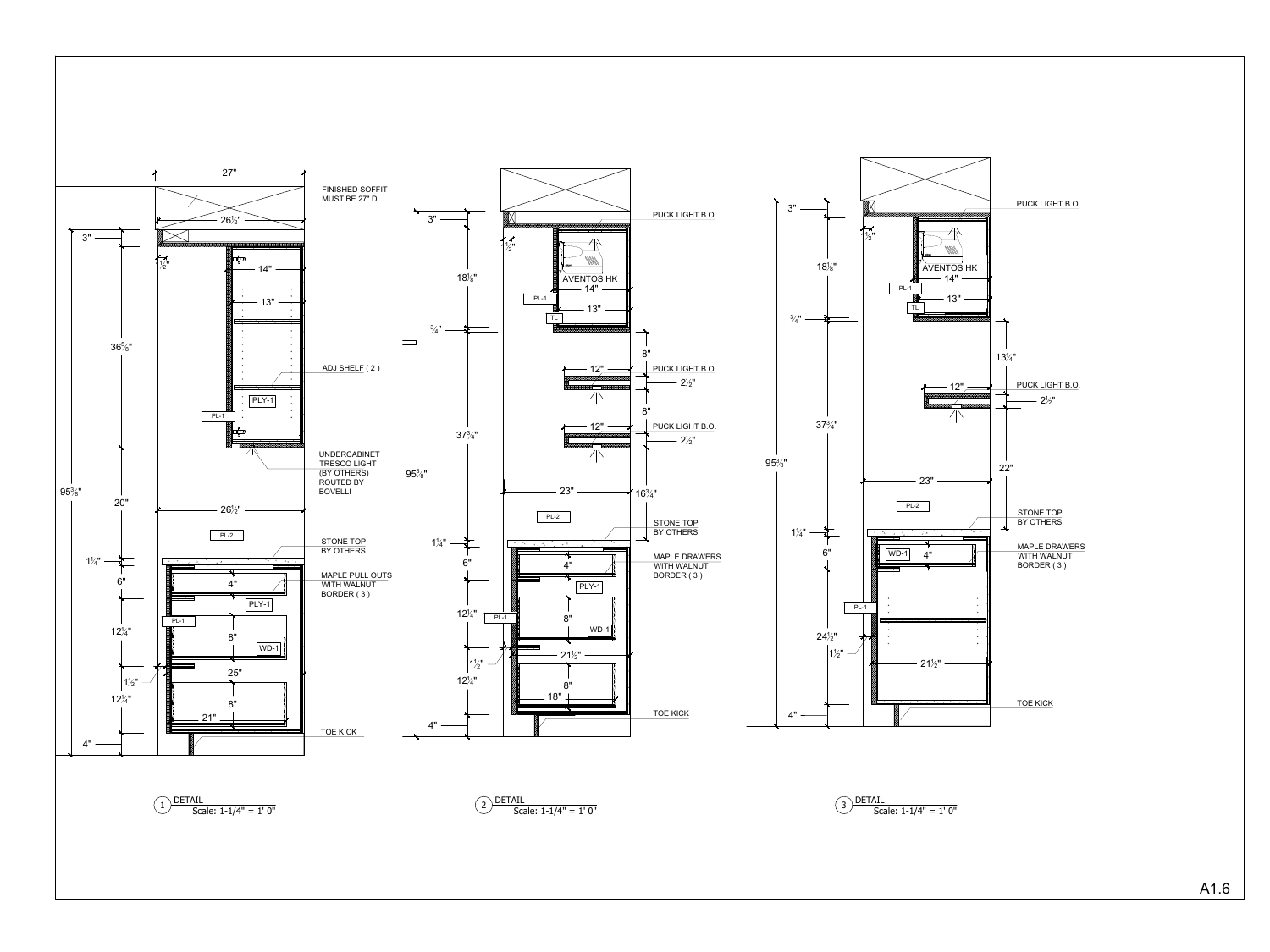![](_page_6_Figure_0.jpeg)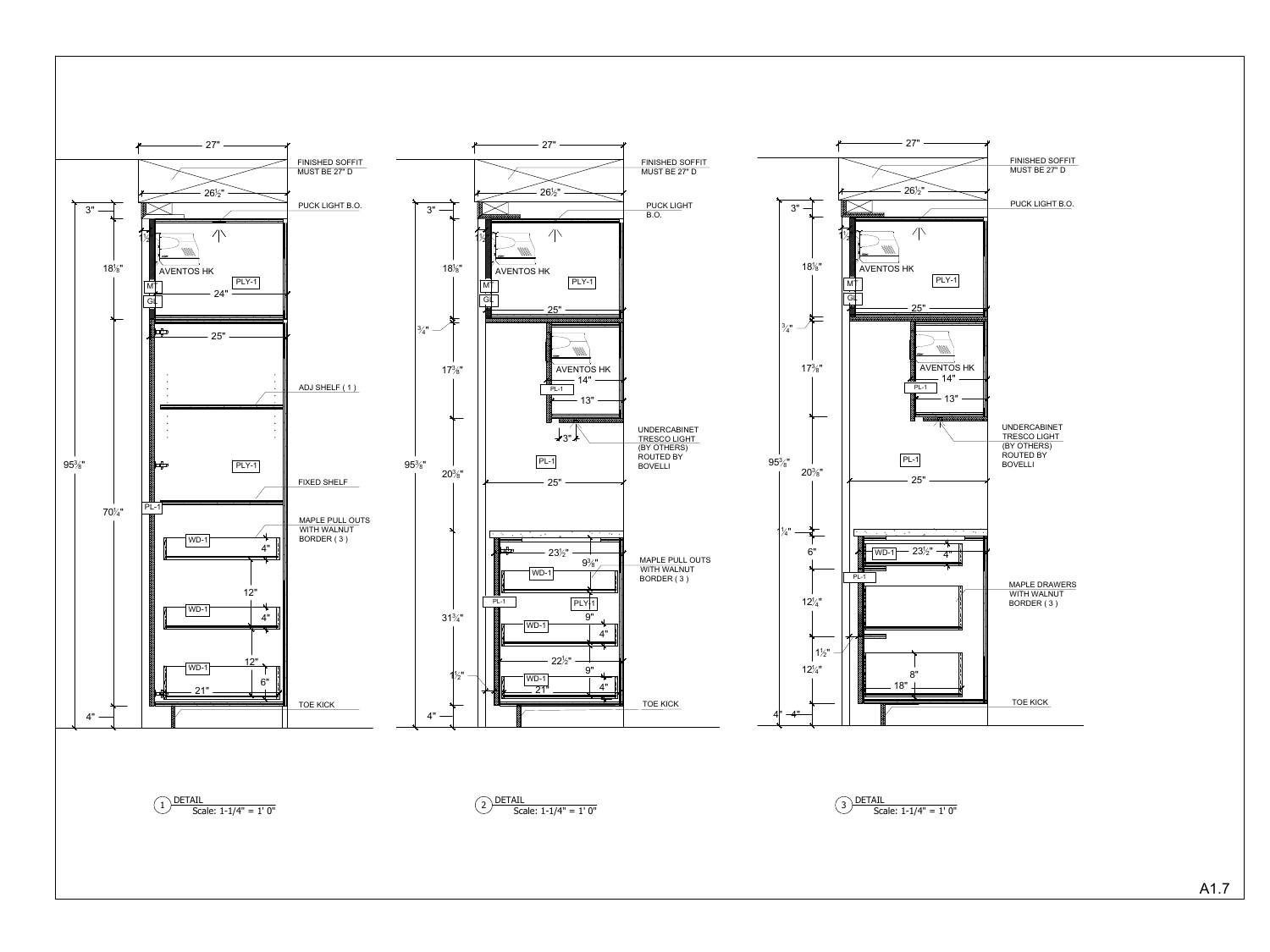![](_page_7_Figure_0.jpeg)